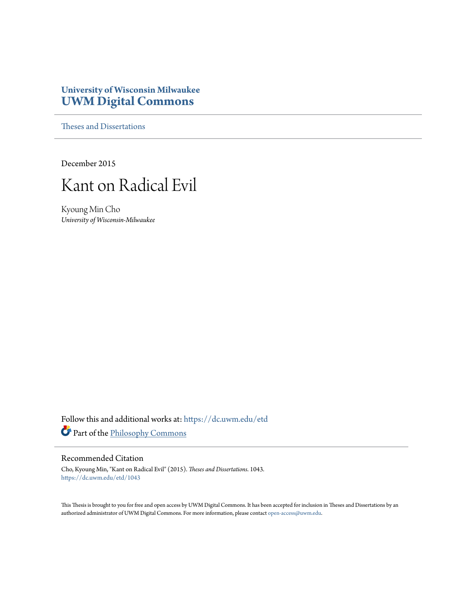# **University of Wisconsin Milwaukee [UWM Digital Commons](https://dc.uwm.edu/?utm_source=dc.uwm.edu%2Fetd%2F1043&utm_medium=PDF&utm_campaign=PDFCoverPages)**

[Theses and Dissertations](https://dc.uwm.edu/etd?utm_source=dc.uwm.edu%2Fetd%2F1043&utm_medium=PDF&utm_campaign=PDFCoverPages)

December 2015



Kyoung Min Cho *University of Wisconsin-Milwaukee*

Follow this and additional works at: [https://dc.uwm.edu/etd](https://dc.uwm.edu/etd?utm_source=dc.uwm.edu%2Fetd%2F1043&utm_medium=PDF&utm_campaign=PDFCoverPages) Part of the [Philosophy Commons](http://network.bepress.com/hgg/discipline/525?utm_source=dc.uwm.edu%2Fetd%2F1043&utm_medium=PDF&utm_campaign=PDFCoverPages)

#### Recommended Citation

Cho, Kyoung Min, "Kant on Radical Evil" (2015). *Theses and Dissertations*. 1043. [https://dc.uwm.edu/etd/1043](https://dc.uwm.edu/etd/1043?utm_source=dc.uwm.edu%2Fetd%2F1043&utm_medium=PDF&utm_campaign=PDFCoverPages)

This Thesis is brought to you for free and open access by UWM Digital Commons. It has been accepted for inclusion in Theses and Dissertations by an authorized administrator of UWM Digital Commons. For more information, please contact [open-access@uwm.edu.](mailto:open-access@uwm.edu)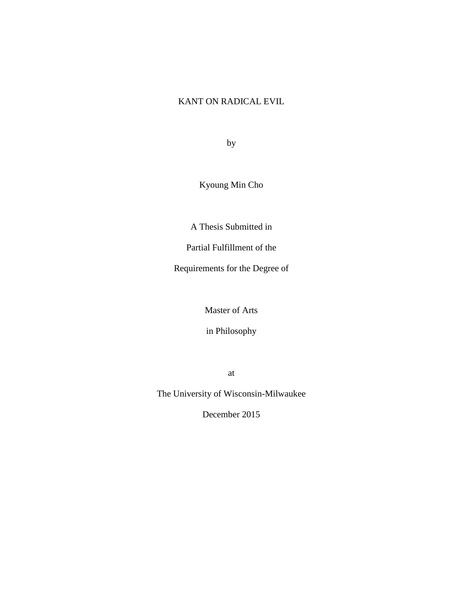## KANT ON RADICAL EVIL

by

Kyoung Min Cho

A Thesis Submitted in

Partial Fulfillment of the

Requirements for the Degree of

Master of Arts

in Philosophy

at

The University of Wisconsin-Milwaukee

December 2015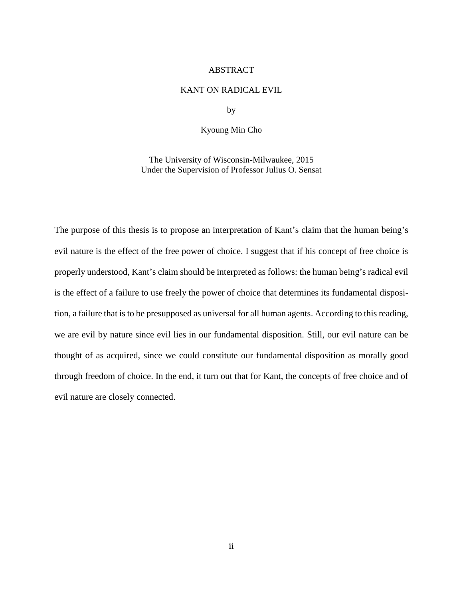#### ABSTRACT

#### KANT ON RADICAL EVIL

by

#### Kyoung Min Cho

The University of Wisconsin-Milwaukee, 2015 Under the Supervision of Professor Julius O. Sensat

The purpose of this thesis is to propose an interpretation of Kant's claim that the human being's evil nature is the effect of the free power of choice. I suggest that if his concept of free choice is properly understood, Kant's claim should be interpreted as follows: the human being's radical evil is the effect of a failure to use freely the power of choice that determines its fundamental disposition, a failure that is to be presupposed as universal for all human agents. According to this reading, we are evil by nature since evil lies in our fundamental disposition. Still, our evil nature can be thought of as acquired, since we could constitute our fundamental disposition as morally good through freedom of choice. In the end, it turn out that for Kant, the concepts of free choice and of evil nature are closely connected.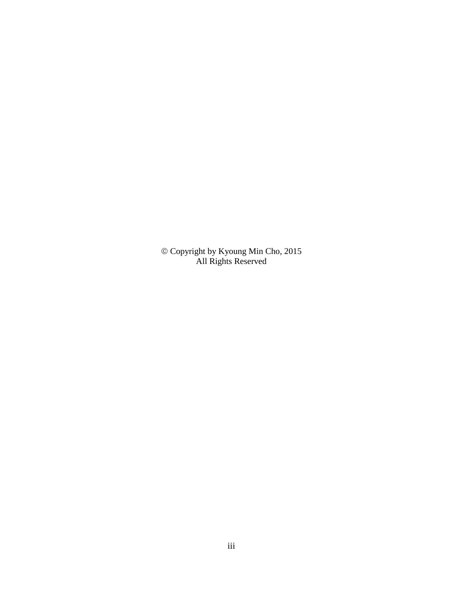Copyright by Kyoung Min Cho, 2015 All Rights Reserved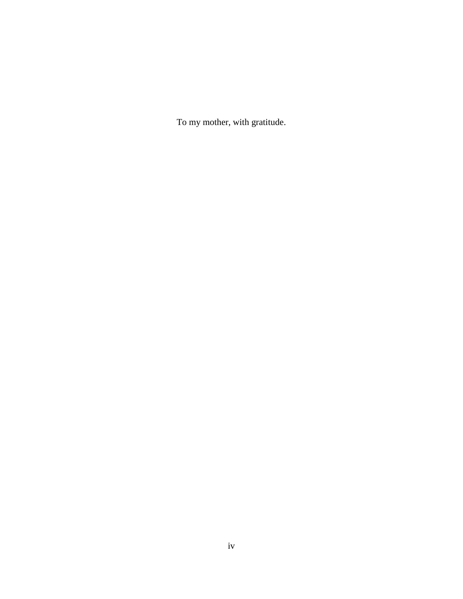To my mother, with gratitude.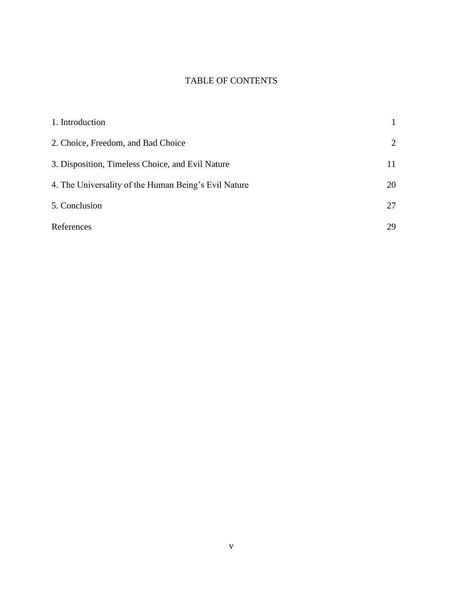# TABLE OF CONTENTS

| 1. Introduction                                      |    |
|------------------------------------------------------|----|
| 2. Choice, Freedom, and Bad Choice                   | 2  |
| 3. Disposition, Timeless Choice, and Evil Nature     | 11 |
| 4. The Universality of the Human Being's Evil Nature | 20 |
| 5. Conclusion                                        | 27 |
| References                                           | 29 |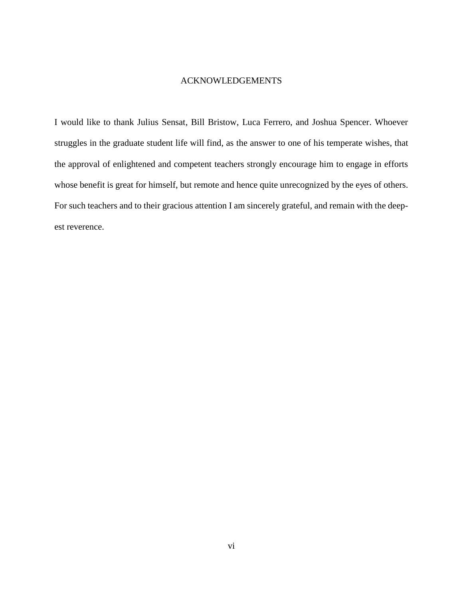### ACKNOWLEDGEMENTS

I would like to thank Julius Sensat, Bill Bristow, Luca Ferrero, and Joshua Spencer. Whoever struggles in the graduate student life will find, as the answer to one of his temperate wishes, that the approval of enlightened and competent teachers strongly encourage him to engage in efforts whose benefit is great for himself, but remote and hence quite unrecognized by the eyes of others. For such teachers and to their gracious attention I am sincerely grateful, and remain with the deepest reverence.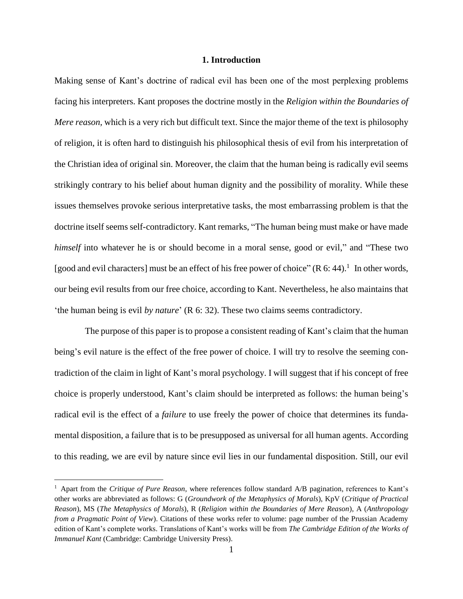### **1. Introduction**

Making sense of Kant's doctrine of radical evil has been one of the most perplexing problems facing his interpreters. Kant proposes the doctrine mostly in the *Religion within the Boundaries of Mere reason,* which is a very rich but difficult text. Since the major theme of the text is philosophy of religion, it is often hard to distinguish his philosophical thesis of evil from his interpretation of the Christian idea of original sin. Moreover, the claim that the human being is radically evil seems strikingly contrary to his belief about human dignity and the possibility of morality. While these issues themselves provoke serious interpretative tasks, the most embarrassing problem is that the doctrine itself seems self-contradictory. Kant remarks, "The human being must make or have made *himself* into whatever he is or should become in a moral sense, good or evil," and "These two [good and evil characters] must be an effect of his free power of choice" ( $R$  6: 44).<sup>1</sup> In other words, our being evil results from our free choice, according to Kant. Nevertheless, he also maintains that 'the human being is evil *by nature*' (R 6: 32). These two claims seems contradictory.

The purpose of this paper is to propose a consistent reading of Kant's claim that the human being's evil nature is the effect of the free power of choice. I will try to resolve the seeming contradiction of the claim in light of Kant's moral psychology. I will suggest that if his concept of free choice is properly understood, Kant's claim should be interpreted as follows: the human being's radical evil is the effect of a *failure* to use freely the power of choice that determines its fundamental disposition, a failure that is to be presupposed as universal for all human agents. According to this reading, we are evil by nature since evil lies in our fundamental disposition. Still, our evil

<sup>1</sup> Apart from the *Critique of Pure Reason*, where references follow standard A/B pagination, references to Kant's other works are abbreviated as follows: G (*Groundwork of the Metaphysics of Morals*), KpV (*Critique of Practical Reason*), MS (*The Metaphysics of Morals*), R (*Religion within the Boundaries of Mere Reason*), A (*Anthropology from a Pragmatic Point of View*). Citations of these works refer to volume: page number of the Prussian Academy edition of Kant's complete works. Translations of Kant's works will be from *The Cambridge Edition of the Works of Immanuel Kant* (Cambridge: Cambridge University Press).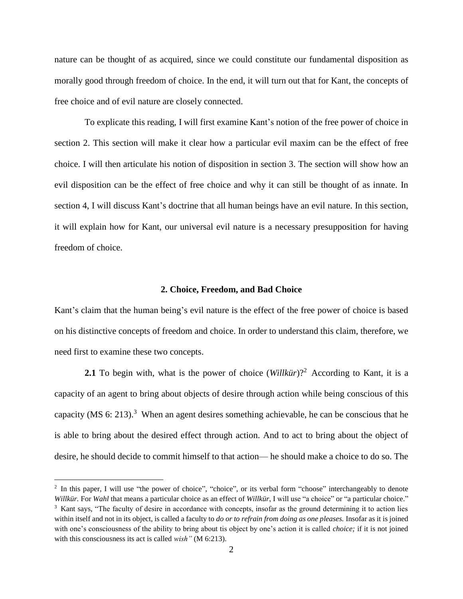nature can be thought of as acquired, since we could constitute our fundamental disposition as morally good through freedom of choice. In the end, it will turn out that for Kant, the concepts of free choice and of evil nature are closely connected.

To explicate this reading, I will first examine Kant's notion of the free power of choice in section 2. This section will make it clear how a particular evil maxim can be the effect of free choice. I will then articulate his notion of disposition in section 3. The section will show how an evil disposition can be the effect of free choice and why it can still be thought of as innate. In section 4, I will discuss Kant's doctrine that all human beings have an evil nature. In this section, it will explain how for Kant, our universal evil nature is a necessary presupposition for having freedom of choice.

#### **2. Choice, Freedom, and Bad Choice**

Kant's claim that the human being's evil nature is the effect of the free power of choice is based on his distinctive concepts of freedom and choice. In order to understand this claim, therefore, we need first to examine these two concepts.

**2.1** To begin with, what is the power of choice  $(Willkür)$ <sup>2</sup> According to Kant, it is a capacity of an agent to bring about objects of desire through action while being conscious of this capacity (MS 6: 213).<sup>3</sup> When an agent desires something achievable, he can be conscious that he is able to bring about the desired effect through action. And to act to bring about the object of desire, he should decide to commit himself to that action— he should make a choice to do so. The

<sup>&</sup>lt;sup>2</sup> In this paper, I will use "the power of choice", "choice", or its verbal form "choose" interchangeably to denote *Willkür.* For *Wahl* that means a particular choice as an effect of *Willkür*, I will use "a choice" or "a particular choice." <sup>3</sup> Kant says, "The faculty of desire in accordance with concepts, insofar as the ground determining it to action lies within itself and not in its object, is called a faculty to *do or to refrain from doing as one pleases.* Insofar as it is joined with one's consciousness of the ability to bring about tis object by one's action it is called *choice;* if it is not joined with this consciousness its act is called *wish"* (M 6:213).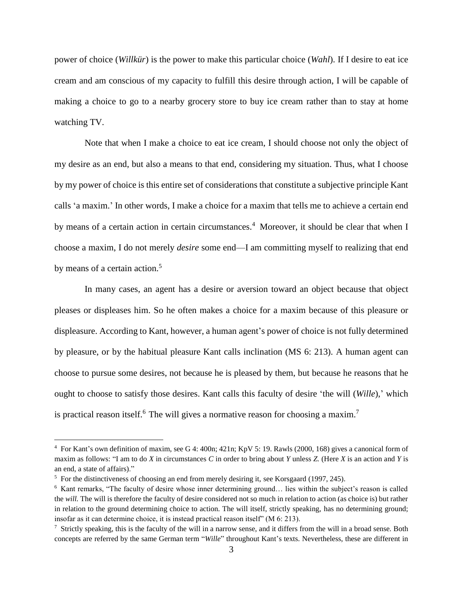power of choice (*Willkür*) is the power to make this particular choice (*Wahl*). If I desire to eat ice cream and am conscious of my capacity to fulfill this desire through action, I will be capable of making a choice to go to a nearby grocery store to buy ice cream rather than to stay at home watching TV.

Note that when I make a choice to eat ice cream, I should choose not only the object of my desire as an end, but also a means to that end, considering my situation. Thus, what I choose by my power of choice is this entire set of considerations that constitute a subjective principle Kant calls 'a maxim.' In other words, I make a choice for a maxim that tells me to achieve a certain end by means of a certain action in certain circumstances.<sup>4</sup> Moreover, it should be clear that when I choose a maxim, I do not merely *desire* some end—I am committing myself to realizing that end by means of a certain action.<sup>5</sup>

In many cases, an agent has a desire or aversion toward an object because that object pleases or displeases him. So he often makes a choice for a maxim because of this pleasure or displeasure. According to Kant, however, a human agent's power of choice is not fully determined by pleasure, or by the habitual pleasure Kant calls inclination (MS 6: 213). A human agent can choose to pursue some desires, not because he is pleased by them, but because he reasons that he ought to choose to satisfy those desires. Kant calls this faculty of desire 'the will (*Wille*),' which is practical reason itself.<sup>6</sup> The will gives a normative reason for choosing a maxim.<sup>7</sup>

<sup>4</sup> For Kant's own definition of maxim, see G 4: 400n; 421n; KpV 5: 19. Rawls (2000, 168) gives a canonical form of maxim as follows: "I am to do *X* in circumstances *C* in order to bring about *Y* unless *Z.* (Here *X* is an action and *Y* is an end, a state of affairs)."

<sup>&</sup>lt;sup>5</sup> For the distinctiveness of choosing an end from merely desiring it, see Korsgaard (1997, 245).

<sup>6</sup> Kant remarks, "The faculty of desire whose inner determining ground… lies within the subject's reason is called the *will.* The will is therefore the faculty of desire considered not so much in relation to action (as choice is) but rather in relation to the ground determining choice to action. The will itself, strictly speaking, has no determining ground; insofar as it can determine choice, it is instead practical reason itself" (M 6: 213).

<sup>7</sup> Strictly speaking, this is the faculty of the will in a narrow sense, and it differs from the will in a broad sense*.* Both concepts are referred by the same German term "*Wille*" throughout Kant's texts. Nevertheless, these are different in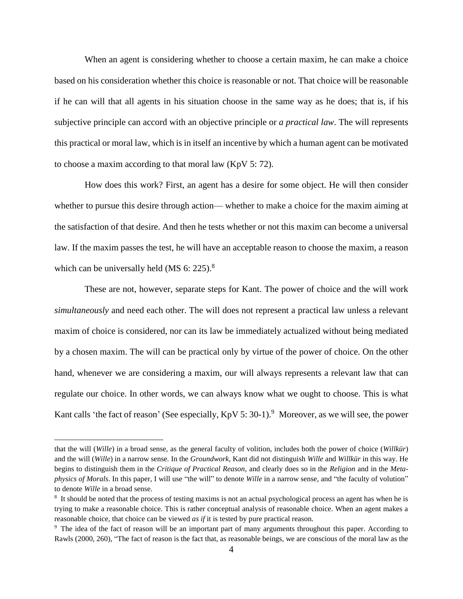When an agent is considering whether to choose a certain maxim, he can make a choice based on his consideration whether this choice is reasonable or not. That choice will be reasonable if he can will that all agents in his situation choose in the same way as he does; that is, if his subjective principle can accord with an objective principle or *a practical law*. The will represents this practical or moral law, which is in itself an incentive by which a human agent can be motivated to choose a maxim according to that moral law (KpV 5: 72).

How does this work? First, an agent has a desire for some object. He will then consider whether to pursue this desire through action— whether to make a choice for the maxim aiming at the satisfaction of that desire. And then he tests whether or not this maxim can become a universal law. If the maxim passes the test, he will have an acceptable reason to choose the maxim, a reason which can be universally held (MS  $6: 225$ ).<sup>8</sup>

These are not, however, separate steps for Kant. The power of choice and the will work *simultaneously* and need each other. The will does not represent a practical law unless a relevant maxim of choice is considered, nor can its law be immediately actualized without being mediated by a chosen maxim. The will can be practical only by virtue of the power of choice. On the other hand, whenever we are considering a maxim, our will always represents a relevant law that can regulate our choice. In other words, we can always know what we ought to choose. This is what Kant calls 'the fact of reason' (See especially,  $KpV 5: 30-1$ ).<sup>9</sup> Moreover, as we will see, the power

that the will (*Wille*) in a broad sense, as the general faculty of volition, includes both the power of choice (*Willkür*) and the will (*Wille*) in a narrow sense*.* In the *Groundwork*, Kant did not distinguish *Wille* and *Willkür* in this way. He begins to distinguish them in the *Critique of Practical Reason*, and clearly does so in the *Religion* and in the *Metaphysics of Morals*. In this paper, I will use "the will" to denote *Wille* in a narrow sense, and "the faculty of volution" to denote *Wille* in a broad sense.

<sup>&</sup>lt;sup>8</sup> It should be noted that the process of testing maxims is not an actual psychological process an agent has when he is trying to make a reasonable choice. This is rather conceptual analysis of reasonable choice. When an agent makes a reasonable choice, that choice can be viewed *as if* it is tested by pure practical reason.

<sup>&</sup>lt;sup>9</sup> The idea of the fact of reason will be an important part of many arguments throughout this paper. According to Rawls (2000, 260), "The fact of reason is the fact that, as reasonable beings, we are conscious of the moral law as the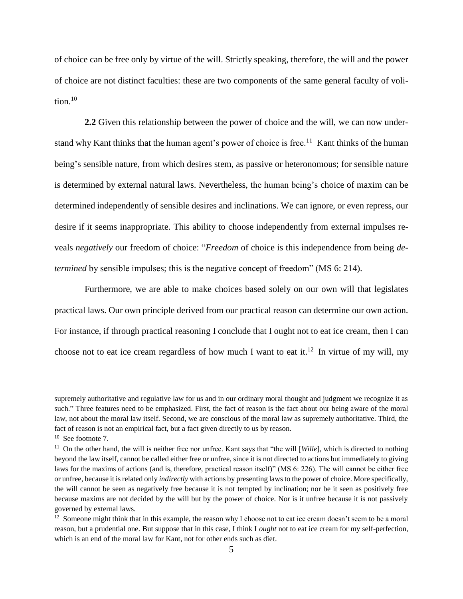of choice can be free only by virtue of the will. Strictly speaking, therefore, the will and the power of choice are not distinct faculties: these are two components of the same general faculty of volition. $10$ 

**2.2** Given this relationship between the power of choice and the will, we can now understand why Kant thinks that the human agent's power of choice is free.<sup>11</sup> Kant thinks of the human being's sensible nature, from which desires stem, as passive or heteronomous; for sensible nature is determined by external natural laws. Nevertheless, the human being's choice of maxim can be determined independently of sensible desires and inclinations. We can ignore, or even repress, our desire if it seems inappropriate. This ability to choose independently from external impulses reveals *negatively* our freedom of choice: "*Freedom* of choice is this independence from being *determined* by sensible impulses; this is the negative concept of freedom" (MS 6: 214).

Furthermore, we are able to make choices based solely on our own will that legislates practical laws. Our own principle derived from our practical reason can determine our own action. For instance, if through practical reasoning I conclude that I ought not to eat ice cream, then I can choose not to eat ice cream regardless of how much I want to eat it.<sup>12</sup> In virtue of my will, my

supremely authoritative and regulative law for us and in our ordinary moral thought and judgment we recognize it as such." Three features need to be emphasized. First, the fact of reason is the fact about our being aware of the moral law, not about the moral law itself. Second, we are conscious of the moral law as supremely authoritative. Third, the fact of reason is not an empirical fact, but a fact given directly to us by reason.

<sup>&</sup>lt;sup>10</sup> See footnote 7.

<sup>11</sup> On the other hand, the will is neither free nor unfree. Kant says that "the will [*Wille*], which is directed to nothing beyond the law itself, cannot be called either free or unfree, since it is not directed to actions but immediately to giving laws for the maxims of actions (and is, therefore, practical reason itself)" (MS 6: 226). The will cannot be either free or unfree, because it is related only *indirectly* with actions by presenting laws to the power of choice. More specifically, the will cannot be seen as negatively free because it is not tempted by inclination; nor be it seen as positively free because maxims are not decided by the will but by the power of choice. Nor is it unfree because it is not passively governed by external laws.

 $12$  Someone might think that in this example, the reason why I choose not to eat ice cream doesn't seem to be a moral reason, but a prudential one. But suppose that in this case, I think I *ought* not to eat ice cream for my self-perfection, which is an end of the moral law for Kant, not for other ends such as diet.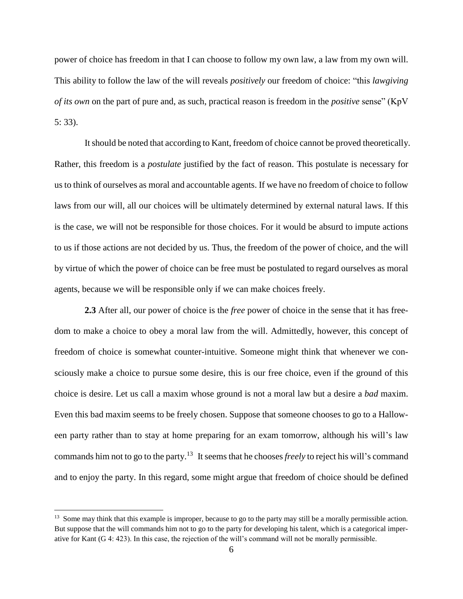power of choice has freedom in that I can choose to follow my own law, a law from my own will. This ability to follow the law of the will reveals *positively* our freedom of choice: "this *lawgiving of its own* on the part of pure and, as such, practical reason is freedom in the *positive* sense" (KpV 5: 33).

It should be noted that according to Kant, freedom of choice cannot be proved theoretically. Rather, this freedom is a *postulate* justified by the fact of reason. This postulate is necessary for us to think of ourselves as moral and accountable agents. If we have no freedom of choice to follow laws from our will, all our choices will be ultimately determined by external natural laws. If this is the case, we will not be responsible for those choices. For it would be absurd to impute actions to us if those actions are not decided by us. Thus, the freedom of the power of choice, and the will by virtue of which the power of choice can be free must be postulated to regard ourselves as moral agents, because we will be responsible only if we can make choices freely.

**2.3** After all, our power of choice is the *free* power of choice in the sense that it has freedom to make a choice to obey a moral law from the will. Admittedly, however, this concept of freedom of choice is somewhat counter-intuitive. Someone might think that whenever we consciously make a choice to pursue some desire, this is our free choice, even if the ground of this choice is desire. Let us call a maxim whose ground is not a moral law but a desire a *bad* maxim. Even this bad maxim seems to be freely chosen. Suppose that someone chooses to go to a Halloween party rather than to stay at home preparing for an exam tomorrow, although his will's law commands him not to go to the party.<sup>13</sup> It seems that he chooses *freely* to reject his will's command and to enjoy the party. In this regard, some might argue that freedom of choice should be defined

 $<sup>13</sup>$  Some may think that this example is improper, because to go to the party may still be a morally permissible action.</sup> But suppose that the will commands him not to go to the party for developing his talent, which is a categorical imperative for Kant (G 4: 423). In this case, the rejection of the will's command will not be morally permissible.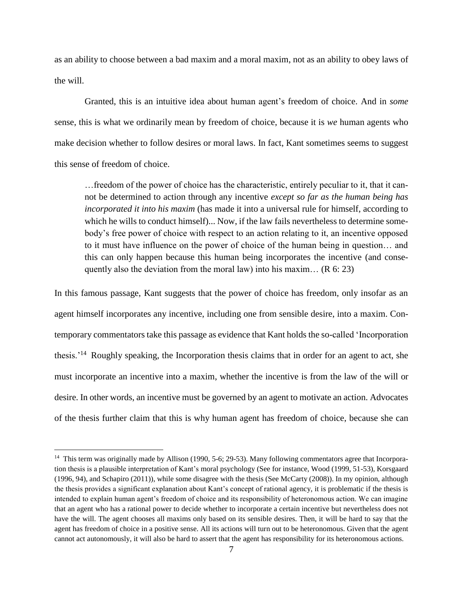as an ability to choose between a bad maxim and a moral maxim, not as an ability to obey laws of the will.

Granted, this is an intuitive idea about human agent's freedom of choice. And in *some*  sense, this is what we ordinarily mean by freedom of choice, because it is *we* human agents who make decision whether to follow desires or moral laws. In fact, Kant sometimes seems to suggest this sense of freedom of choice.

…freedom of the power of choice has the characteristic, entirely peculiar to it, that it cannot be determined to action through any incentive *except so far as the human being has incorporated it into his maxim* (has made it into a universal rule for himself, according to which he wills to conduct himself)... Now, if the law fails nevertheless to determine somebody's free power of choice with respect to an action relating to it, an incentive opposed to it must have influence on the power of choice of the human being in question… and this can only happen because this human being incorporates the incentive (and consequently also the deviation from the moral law) into his maxim...  $(R 6: 23)$ 

In this famous passage, Kant suggests that the power of choice has freedom, only insofar as an agent himself incorporates any incentive, including one from sensible desire, into a maxim. Contemporary commentators take this passage as evidence that Kant holds the so-called 'Incorporation thesis.<sup>'14</sup> Roughly speaking, the Incorporation thesis claims that in order for an agent to act, she must incorporate an incentive into a maxim, whether the incentive is from the law of the will or desire. In other words, an incentive must be governed by an agent to motivate an action. Advocates of the thesis further claim that this is why human agent has freedom of choice, because she can

<sup>&</sup>lt;sup>14</sup> This term was originally made by Allison (1990, 5-6; 29-53). Many following commentators agree that Incorporation thesis is a plausible interpretation of Kant's moral psychology (See for instance, Wood (1999, 51-53), Korsgaard (1996, 94), and Schapiro (2011)), while some disagree with the thesis (See McCarty (2008)). In my opinion, although the thesis provides a significant explanation about Kant's concept of rational agency, it is problematic if the thesis is intended to explain human agent's freedom of choice and its responsibility of heteronomous action. We can imagine that an agent who has a rational power to decide whether to incorporate a certain incentive but nevertheless does not have the will. The agent chooses all maxims only based on its sensible desires. Then, it will be hard to say that the agent has freedom of choice in a positive sense. All its actions will turn out to be heteronomous. Given that the agent cannot act autonomously, it will also be hard to assert that the agent has responsibility for its heteronomous actions.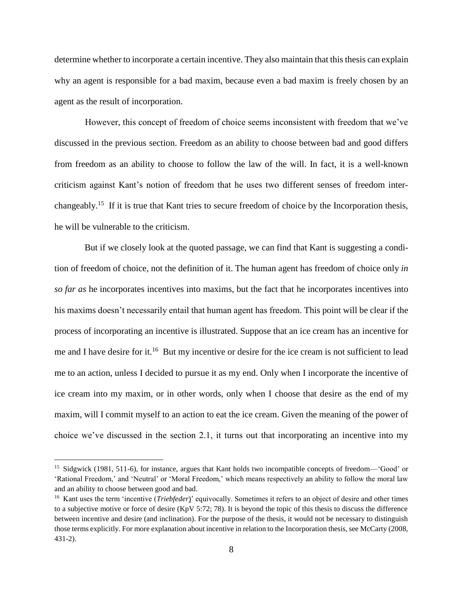determine whether to incorporate a certain incentive. They also maintain that this thesis can explain why an agent is responsible for a bad maxim, because even a bad maxim is freely chosen by an agent as the result of incorporation.

However, this concept of freedom of choice seems inconsistent with freedom that we've discussed in the previous section. Freedom as an ability to choose between bad and good differs from freedom as an ability to choose to follow the law of the will. In fact, it is a well-known criticism against Kant's notion of freedom that he uses two different senses of freedom interchangeably.<sup>15</sup> If it is true that Kant tries to secure freedom of choice by the Incorporation thesis, he will be vulnerable to the criticism.

But if we closely look at the quoted passage, we can find that Kant is suggesting a condition of freedom of choice, not the definition of it. The human agent has freedom of choice only *in so far as* he incorporates incentives into maxims, but the fact that he incorporates incentives into his maxims doesn't necessarily entail that human agent has freedom. This point will be clear if the process of incorporating an incentive is illustrated. Suppose that an ice cream has an incentive for me and I have desire for it.<sup>16</sup> But my incentive or desire for the ice cream is not sufficient to lead me to an action, unless I decided to pursue it as my end. Only when I incorporate the incentive of ice cream into my maxim, or in other words, only when I choose that desire as the end of my maxim, will I commit myself to an action to eat the ice cream. Given the meaning of the power of choice we've discussed in the section 2.1, it turns out that incorporating an incentive into my

<sup>&</sup>lt;sup>15</sup> Sidgwick (1981, 511-6), for instance, argues that Kant holds two incompatible concepts of freedom—'Good' or 'Rational Freedom,' and 'Neutral' or 'Moral Freedom,' which means respectively an ability to follow the moral law and an ability to choose between good and bad.

<sup>&</sup>lt;sup>16</sup> Kant uses the term 'incentive (*Triebfeder*)' equivocally. Sometimes it refers to an object of desire and other times to a subjective motive or force of desire (KpV 5:72; 78). It is beyond the topic of this thesis to discuss the difference between incentive and desire (and inclination). For the purpose of the thesis, it would not be necessary to distinguish those terms explicitly. For more explanation about incentive in relation to the Incorporation thesis, see McCarty (2008, 431-2).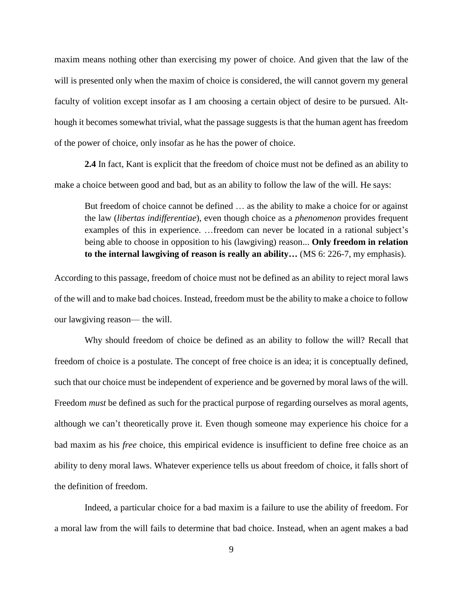maxim means nothing other than exercising my power of choice. And given that the law of the will is presented only when the maxim of choice is considered, the will cannot govern my general faculty of volition except insofar as I am choosing a certain object of desire to be pursued. Although it becomes somewhat trivial, what the passage suggests is that the human agent has freedom of the power of choice, only insofar as he has the power of choice.

**2.4** In fact, Kant is explicit that the freedom of choice must not be defined as an ability to make a choice between good and bad, but as an ability to follow the law of the will. He says:

But freedom of choice cannot be defined … as the ability to make a choice for or against the law (*libertas indifferentiae*)*,* even though choice as a *phenomenon* provides frequent examples of this in experience. …freedom can never be located in a rational subject's being able to choose in opposition to his (lawgiving) reason... **Only freedom in relation to the internal lawgiving of reason is really an ability…** (MS 6: 226-7, my emphasis).

According to this passage, freedom of choice must not be defined as an ability to reject moral laws of the will and to make bad choices. Instead, freedom must be the ability to make a choice to follow our lawgiving reason— the will.

Why should freedom of choice be defined as an ability to follow the will? Recall that freedom of choice is a postulate. The concept of free choice is an idea; it is conceptually defined, such that our choice must be independent of experience and be governed by moral laws of the will. Freedom *must* be defined as such for the practical purpose of regarding ourselves as moral agents, although we can't theoretically prove it. Even though someone may experience his choice for a bad maxim as his *free* choice, this empirical evidence is insufficient to define free choice as an ability to deny moral laws. Whatever experience tells us about freedom of choice, it falls short of the definition of freedom.

Indeed, a particular choice for a bad maxim is a failure to use the ability of freedom. For a moral law from the will fails to determine that bad choice. Instead, when an agent makes a bad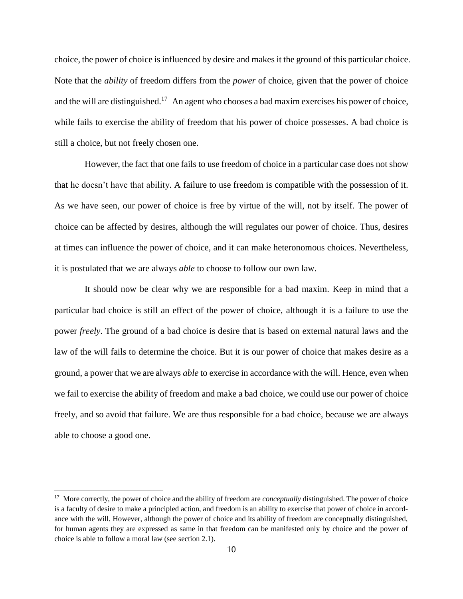choice, the power of choice is influenced by desire and makes it the ground of this particular choice. Note that the *ability* of freedom differs from the *power* of choice, given that the power of choice and the will are distinguished.<sup>17</sup> An agent who chooses a bad maxim exercises his power of choice, while fails to exercise the ability of freedom that his power of choice possesses. A bad choice is still a choice, but not freely chosen one.

However, the fact that one fails to use freedom of choice in a particular case does not show that he doesn't have that ability. A failure to use freedom is compatible with the possession of it. As we have seen, our power of choice is free by virtue of the will, not by itself. The power of choice can be affected by desires, although the will regulates our power of choice. Thus, desires at times can influence the power of choice, and it can make heteronomous choices. Nevertheless, it is postulated that we are always *able* to choose to follow our own law.

It should now be clear why we are responsible for a bad maxim. Keep in mind that a particular bad choice is still an effect of the power of choice, although it is a failure to use the power *freely*. The ground of a bad choice is desire that is based on external natural laws and the law of the will fails to determine the choice. But it is our power of choice that makes desire as a ground, a power that we are always *able* to exercise in accordance with the will. Hence, even when we fail to exercise the ability of freedom and make a bad choice, we could use our power of choice freely, and so avoid that failure. We are thus responsible for a bad choice, because we are always able to choose a good one.

<sup>&</sup>lt;sup>17</sup> More correctly, the power of choice and the ability of freedom are *conceptually* distinguished. The power of choice is a faculty of desire to make a principled action, and freedom is an ability to exercise that power of choice in accordance with the will. However, although the power of choice and its ability of freedom are conceptually distinguished, for human agents they are expressed as same in that freedom can be manifested only by choice and the power of choice is able to follow a moral law (see section 2.1).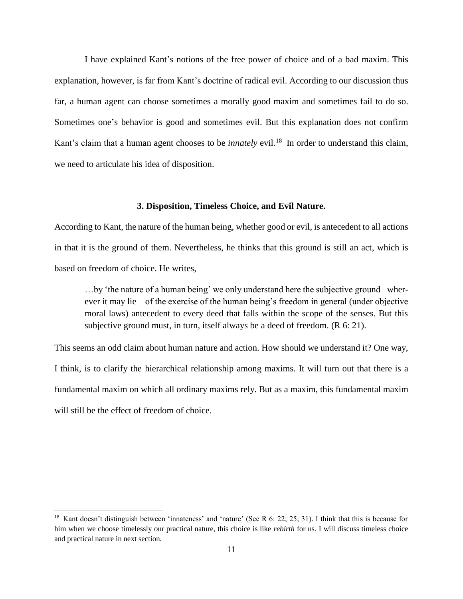I have explained Kant's notions of the free power of choice and of a bad maxim. This explanation, however, is far from Kant's doctrine of radical evil. According to our discussion thus far, a human agent can choose sometimes a morally good maxim and sometimes fail to do so. Sometimes one's behavior is good and sometimes evil. But this explanation does not confirm Kant's claim that a human agent chooses to be *innately* evil*.* <sup>18</sup> In order to understand this claim, we need to articulate his idea of disposition.

#### **3. Disposition, Timeless Choice, and Evil Nature.**

According to Kant, the nature of the human being, whether good or evil, is antecedent to all actions in that it is the ground of them. Nevertheless, he thinks that this ground is still an act, which is based on freedom of choice. He writes,

…by 'the nature of a human being' we only understand here the subjective ground –wherever it may lie – of the exercise of the human being's freedom in general (under objective moral laws) antecedent to every deed that falls within the scope of the senses. But this subjective ground must, in turn, itself always be a deed of freedom. (R 6: 21).

This seems an odd claim about human nature and action. How should we understand it? One way, I think, is to clarify the hierarchical relationship among maxims. It will turn out that there is a fundamental maxim on which all ordinary maxims rely. But as a maxim, this fundamental maxim will still be the effect of freedom of choice.

<sup>&</sup>lt;sup>18</sup> Kant doesn't distinguish between 'innateness' and 'nature' (See R 6: 22; 25; 31). I think that this is because for him when we choose timelessly our practical nature, this choice is like *rebirth* for us*.* I will discuss timeless choice and practical nature in next section.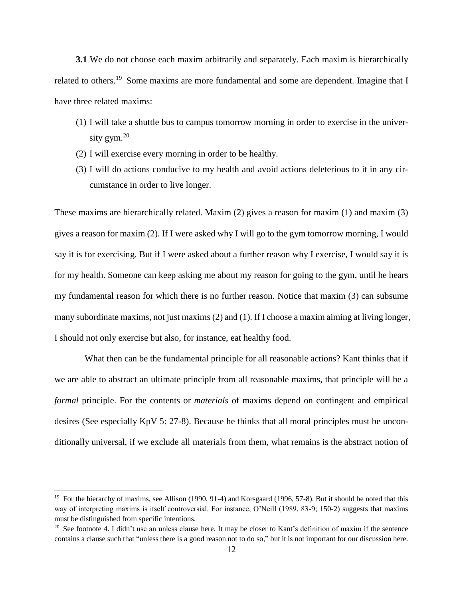**3.1** We do not choose each maxim arbitrarily and separately. Each maxim is hierarchically related to others.<sup>19</sup> Some maxims are more fundamental and some are dependent. Imagine that I have three related maxims:

- (1) I will take a shuttle bus to campus tomorrow morning in order to exercise in the university gym.<sup>20</sup>
- (2) I will exercise every morning in order to be healthy.
- (3) I will do actions conducive to my health and avoid actions deleterious to it in any circumstance in order to live longer.

These maxims are hierarchically related. Maxim (2) gives a reason for maxim (1) and maxim (3) gives a reason for maxim (2). If I were asked why I will go to the gym tomorrow morning, I would say it is for exercising. But if I were asked about a further reason why I exercise, I would say it is for my health. Someone can keep asking me about my reason for going to the gym, until he hears my fundamental reason for which there is no further reason. Notice that maxim (3) can subsume many subordinate maxims, not just maxims (2) and (1). If I choose a maxim aiming at living longer, I should not only exercise but also, for instance, eat healthy food.

What then can be the fundamental principle for all reasonable actions? Kant thinks that if we are able to abstract an ultimate principle from all reasonable maxims, that principle will be a *formal* principle. For the contents or *materials* of maxims depend on contingent and empirical desires (See especially KpV 5: 27-8). Because he thinks that all moral principles must be unconditionally universal, if we exclude all materials from them, what remains is the abstract notion of

<sup>&</sup>lt;sup>19</sup> For the hierarchy of maxims, see Allison (1990, 91-4) and Korsgaard (1996, 57-8). But it should be noted that this way of interpreting maxims is itself controversial. For instance, O'Neill (1989, 83-9; 150-2) suggests that maxims must be distinguished from specific intentions.

<sup>&</sup>lt;sup>20</sup> See footnote 4. I didn't use an unless clause here. It may be closer to Kant's definition of maxim if the sentence contains a clause such that "unless there is a good reason not to do so*,*" but it is not important for our discussion here.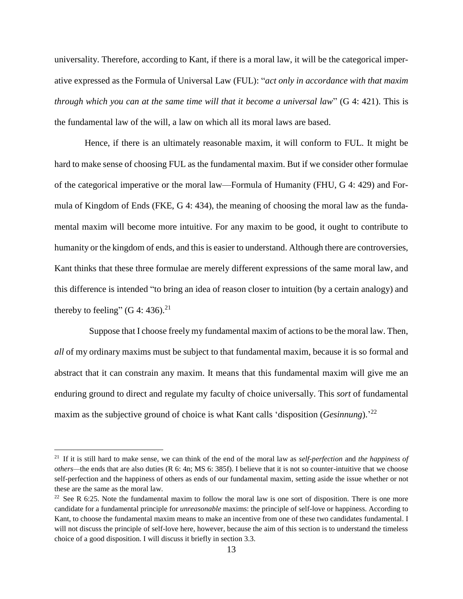universality. Therefore, according to Kant, if there is a moral law, it will be the categorical imperative expressed as the Formula of Universal Law (FUL): "*act only in accordance with that maxim through which you can at the same time will that it become a universal law*" (G 4: 421). This is the fundamental law of the will, a law on which all its moral laws are based.

Hence, if there is an ultimately reasonable maxim, it will conform to FUL. It might be hard to make sense of choosing FUL as the fundamental maxim. But if we consider other formulae of the categorical imperative or the moral law—Formula of Humanity (FHU, G 4: 429) and Formula of Kingdom of Ends (FKE, G 4: 434), the meaning of choosing the moral law as the fundamental maxim will become more intuitive. For any maxim to be good, it ought to contribute to humanity or the kingdom of ends, and this is easier to understand. Although there are controversies, Kant thinks that these three formulae are merely different expressions of the same moral law, and this difference is intended "to bring an idea of reason closer to intuition (by a certain analogy) and thereby to feeling" (G 4: 436).<sup>21</sup>

Suppose that I choose freely my fundamental maxim of actions to be the moral law. Then, *all* of my ordinary maxims must be subject to that fundamental maxim, because it is so formal and abstract that it can constrain any maxim. It means that this fundamental maxim will give me an enduring ground to direct and regulate my faculty of choice universally. This *sort* of fundamental maxim as the subjective ground of choice is what Kant calls 'disposition (*Gesinnung*).' 22

<sup>21</sup> If it is still hard to make sense, we can think of the end of the moral law as *self-perfection* and *the happiness of others—*the ends that are also duties (R 6: 4n; MS 6: 385f). I believe that it is not so counter-intuitive that we choose self-perfection and the happiness of others as ends of our fundamental maxim, setting aside the issue whether or not these are the same as the moral law.

<sup>&</sup>lt;sup>22</sup> See R 6:25. Note the fundamental maxim to follow the moral law is one sort of disposition. There is one more candidate for a fundamental principle for *unreasonable* maxims: the principle of self-love or happiness. According to Kant, to choose the fundamental maxim means to make an incentive from one of these two candidates fundamental. I will not discuss the principle of self-love here, however, because the aim of this section is to understand the timeless choice of a good disposition. I will discuss it briefly in section 3.3.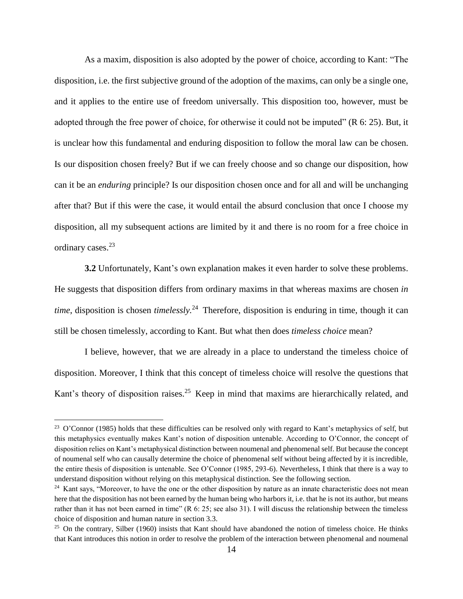As a maxim, disposition is also adopted by the power of choice, according to Kant: "The disposition, i.e. the first subjective ground of the adoption of the maxims, can only be a single one, and it applies to the entire use of freedom universally. This disposition too, however, must be adopted through the free power of choice, for otherwise it could not be imputed" (R 6: 25). But, it is unclear how this fundamental and enduring disposition to follow the moral law can be chosen. Is our disposition chosen freely? But if we can freely choose and so change our disposition, how can it be an *enduring* principle? Is our disposition chosen once and for all and will be unchanging after that? But if this were the case, it would entail the absurd conclusion that once I choose my disposition, all my subsequent actions are limited by it and there is no room for a free choice in ordinary cases.<sup>23</sup>

**3.2** Unfortunately, Kant's own explanation makes it even harder to solve these problems. He suggests that disposition differs from ordinary maxims in that whereas maxims are chosen *in time*, disposition is chosen *timelessly.* <sup>24</sup> Therefore, disposition is enduring in time, though it can still be chosen timelessly, according to Kant. But what then does *timeless choice* mean?

I believe, however, that we are already in a place to understand the timeless choice of disposition. Moreover, I think that this concept of timeless choice will resolve the questions that Kant's theory of disposition raises.<sup>25</sup> Keep in mind that maxims are hierarchically related, and

<sup>&</sup>lt;sup>23</sup> O'Connor (1985) holds that these difficulties can be resolved only with regard to Kant's metaphysics of self, but this metaphysics eventually makes Kant's notion of disposition untenable. According to O'Connor, the concept of disposition relies on Kant's metaphysical distinction between noumenal and phenomenal self. But because the concept of noumenal self who can causally determine the choice of phenomenal self without being affected by it is incredible, the entire thesis of disposition is untenable. See O'Connor (1985, 293-6). Nevertheless, I think that there is a way to understand disposition without relying on this metaphysical distinction. See the following section.

<sup>&</sup>lt;sup>24</sup> Kant says, "Moreover, to have the one or the other disposition by nature as an innate characteristic does not mean here that the disposition has not been earned by the human being who harbors it, i.e. that he is not its author, but means rather than it has not been earned in time" (R 6: 25; see also 31). I will discuss the relationship between the timeless choice of disposition and human nature in section 3.3.

 $25$  On the contrary, Silber (1960) insists that Kant should have abandoned the notion of timeless choice. He thinks that Kant introduces this notion in order to resolve the problem of the interaction between phenomenal and noumenal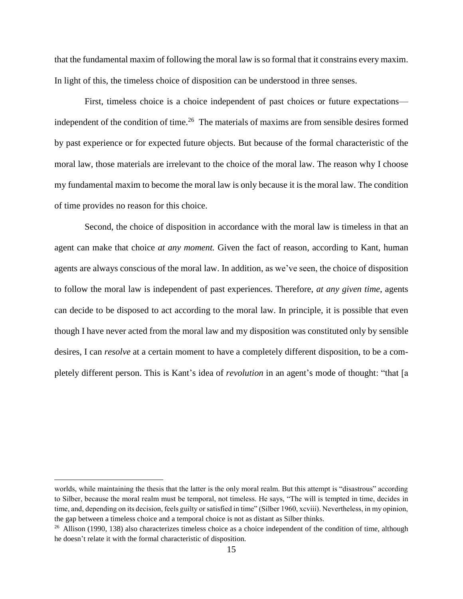that the fundamental maxim of following the moral law is so formal that it constrains every maxim. In light of this, the timeless choice of disposition can be understood in three senses.

First, timeless choice is a choice independent of past choices or future expectations independent of the condition of time.<sup>26</sup> The materials of maxims are from sensible desires formed by past experience or for expected future objects. But because of the formal characteristic of the moral law, those materials are irrelevant to the choice of the moral law. The reason why I choose my fundamental maxim to become the moral law is only because it is the moral law. The condition of time provides no reason for this choice.

Second, the choice of disposition in accordance with the moral law is timeless in that an agent can make that choice *at any moment.* Given the fact of reason, according to Kant, human agents are always conscious of the moral law. In addition, as we've seen, the choice of disposition to follow the moral law is independent of past experiences. Therefore, *at any given time*, agents can decide to be disposed to act according to the moral law. In principle, it is possible that even though I have never acted from the moral law and my disposition was constituted only by sensible desires, I can *resolve* at a certain moment to have a completely different disposition, to be a completely different person. This is Kant's idea of *revolution* in an agent's mode of thought: "that [a

worlds, while maintaining the thesis that the latter is the only moral realm. But this attempt is "disastrous" according to Silber, because the moral realm must be temporal, not timeless. He says, "The will is tempted in time, decides in time, and, depending on its decision, feels guilty or satisfied in time" (Silber 1960, xcviii). Nevertheless, in my opinion, the gap between a timeless choice and a temporal choice is not as distant as Silber thinks.

 $26$  Allison (1990, 138) also characterizes timeless choice as a choice independent of the condition of time, although he doesn't relate it with the formal characteristic of disposition.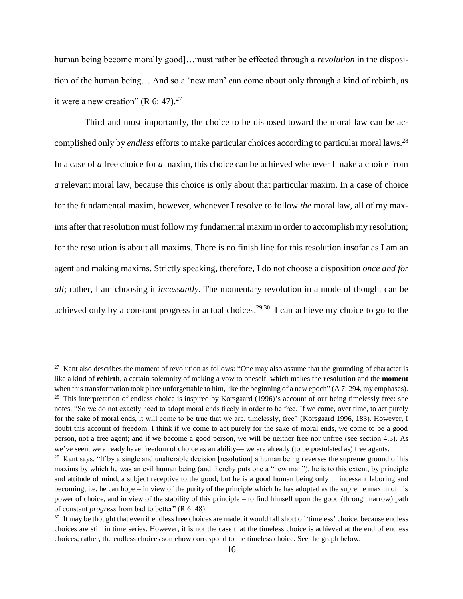human being become morally good]…must rather be effected through a *revolution* in the disposition of the human being… And so a 'new man' can come about only through a kind of rebirth, as it were a new creation" (R 6: 47). $27$ 

Third and most importantly, the choice to be disposed toward the moral law can be accomplished only by *endless* efforts to make particular choices according to particular moral laws.<sup>28</sup> In a case of *a* free choice for *a* maxim, this choice can be achieved whenever I make a choice from *a* relevant moral law, because this choice is only about that particular maxim. In a case of choice for the fundamental maxim, however, whenever I resolve to follow *the* moral law, all of my maxims after that resolution must follow my fundamental maxim in order to accomplish my resolution; for the resolution is about all maxims. There is no finish line for this resolution insofar as I am an agent and making maxims. Strictly speaking, therefore, I do not choose a disposition *once and for all*; rather, I am choosing it *incessantly.* The momentary revolution in a mode of thought can be achieved only by a constant progress in actual choices.<sup>29,30</sup> I can achieve my choice to go to the

 $27$  Kant also describes the moment of revolution as follows: "One may also assume that the grounding of character is like a kind of **rebirth**, a certain solemnity of making a vow to oneself; which makes the **resolution** and the **moment** when this transformation took place unforgettable to him, like the beginning of a new epoch" (A 7: 294, my emphases). <sup>28</sup> This interpretation of endless choice is inspired by Korsgaard (1996)'s account of our being timelessly free: she notes, "So we do not exactly need to adopt moral ends freely in order to be free. If we come, over time, to act purely for the sake of moral ends, it will come to be true that we are, timelessly, free" (Korsgaard 1996, 183). However, I doubt this account of freedom. I think if we come to act purely for the sake of moral ends, we come to be a good person, not a free agent; and if we become a good person, we will be neither free nor unfree (see section 4.3). As we've seen, we already have freedom of choice as an ability— we are already (to be postulated as) free agents.

<sup>&</sup>lt;sup>29</sup> Kant says, "If by a single and unalterable decision [resolution] a human being reverses the supreme ground of his maxims by which he was an evil human being (and thereby puts one a "new man"), he is to this extent, by principle and attitude of mind, a subject receptive to the good; but he is a good human being only in incessant laboring and becoming; i.e. he can hope – in view of the purity of the principle which he has adopted as the supreme maxim of his power of choice, and in view of the stability of this principle – to find himself upon the good (through narrow) path of constant *progress* from bad to better" (R 6: 48).

<sup>&</sup>lt;sup>30</sup> It may be thought that even if endless free choices are made, it would fall short of 'timeless' choice, because endless choices are still in time series. However, it is not the case that the timeless choice is achieved at the end of endless choices; rather, the endless choices somehow correspond to the timeless choice. See the graph below.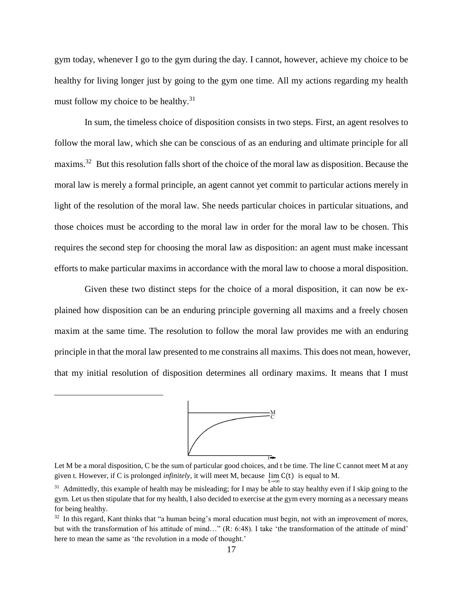gym today, whenever I go to the gym during the day. I cannot, however, achieve my choice to be healthy for living longer just by going to the gym one time. All my actions regarding my health must follow my choice to be healthy.<sup>31</sup>

In sum, the timeless choice of disposition consists in two steps. First, an agent resolves to follow the moral law, which she can be conscious of as an enduring and ultimate principle for all maxims.<sup>32</sup> But this resolution falls short of the choice of the moral law as disposition. Because the moral law is merely a formal principle, an agent cannot yet commit to particular actions merely in light of the resolution of the moral law. She needs particular choices in particular situations, and those choices must be according to the moral law in order for the moral law to be chosen. This requires the second step for choosing the moral law as disposition: an agent must make incessant efforts to make particular maxims in accordance with the moral law to choose a moral disposition.

Given these two distinct steps for the choice of a moral disposition, it can now be explained how disposition can be an enduring principle governing all maxims and a freely chosen maxim at the same time. The resolution to follow the moral law provides me with an enduring principle in that the moral law presented to me constrains all maxims. This does not mean, however, that my initial resolution of disposition determines all ordinary maxims. It means that I must



Let M be a moral disposition, C be the sum of particular good choices, and t be time. The line C cannot meet M at any given t. However, if C is prolonged *infinitely*, it will meet M, because  $\lim_{t\to\infty} C(t)$  is equal to M.

<sup>&</sup>lt;sup>31</sup> Admittedly, this example of health may be misleading; for I may be able to stay healthy even if I skip going to the gym. Let us then stipulate that for my health, I also decided to exercise at the gym every morning as a necessary means for being healthy.

<sup>&</sup>lt;sup>32</sup> In this regard, Kant thinks that "a human being's moral education must begin, not with an improvement of mores, but with the transformation of his attitude of mind…" (R: 6:48). I take 'the transformation of the attitude of mind' here to mean the same as 'the revolution in a mode of thought.'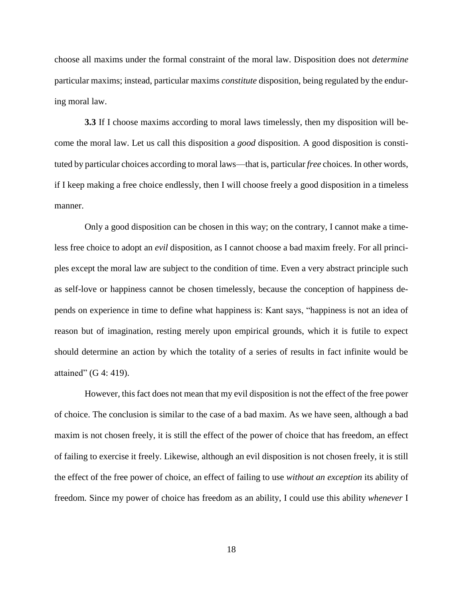choose all maxims under the formal constraint of the moral law. Disposition does not *determine*  particular maxims; instead, particular maxims *constitute* disposition, being regulated by the enduring moral law.

**3.3** If I choose maxims according to moral laws timelessly, then my disposition will become the moral law. Let us call this disposition a *good* disposition. A good disposition is constituted by particular choices according to moral laws—that is, particular *free* choices. In other words, if I keep making a free choice endlessly, then I will choose freely a good disposition in a timeless manner.

Only a good disposition can be chosen in this way; on the contrary, I cannot make a timeless free choice to adopt an *evil* disposition, as I cannot choose a bad maxim freely. For all principles except the moral law are subject to the condition of time. Even a very abstract principle such as self-love or happiness cannot be chosen timelessly, because the conception of happiness depends on experience in time to define what happiness is: Kant says, "happiness is not an idea of reason but of imagination, resting merely upon empirical grounds, which it is futile to expect should determine an action by which the totality of a series of results in fact infinite would be attained" (G 4: 419).

However, this fact does not mean that my evil disposition is not the effect of the free power of choice. The conclusion is similar to the case of a bad maxim. As we have seen, although a bad maxim is not chosen freely, it is still the effect of the power of choice that has freedom, an effect of failing to exercise it freely. Likewise, although an evil disposition is not chosen freely, it is still the effect of the free power of choice, an effect of failing to use *without an exception* its ability of freedom*.* Since my power of choice has freedom as an ability, I could use this ability *whenever* I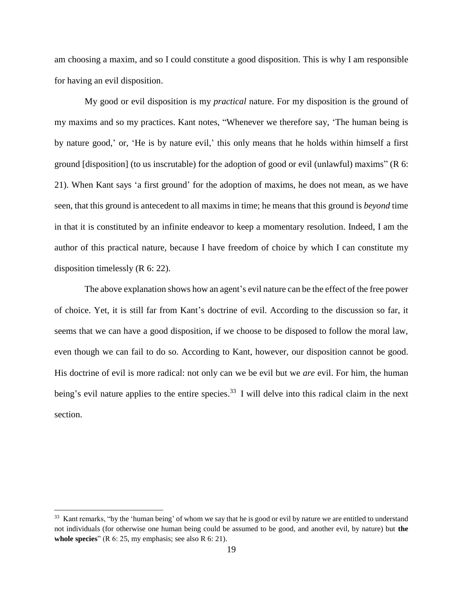am choosing a maxim, and so I could constitute a good disposition. This is why I am responsible for having an evil disposition.

My good or evil disposition is my *practical* nature. For my disposition is the ground of my maxims and so my practices. Kant notes, "Whenever we therefore say, 'The human being is by nature good,' or, 'He is by nature evil,' this only means that he holds within himself a first ground [disposition] (to us inscrutable) for the adoption of good or evil (unlawful) maxims" (R 6: 21). When Kant says 'a first ground' for the adoption of maxims, he does not mean, as we have seen, that this ground is antecedent to all maxims in time; he means that this ground is *beyond* time in that it is constituted by an infinite endeavor to keep a momentary resolution. Indeed, I am the author of this practical nature, because I have freedom of choice by which I can constitute my disposition timelessly (R 6: 22).

The above explanation shows how an agent's evil nature can be the effect of the free power of choice. Yet, it is still far from Kant's doctrine of evil. According to the discussion so far, it seems that we can have a good disposition, if we choose to be disposed to follow the moral law, even though we can fail to do so. According to Kant, however, our disposition cannot be good. His doctrine of evil is more radical: not only can we be evil but we *are* evil. For him, the human being's evil nature applies to the entire species.<sup>33</sup> I will delve into this radical claim in the next section.

 $33$  Kant remarks, "by the 'human being' of whom we say that he is good or evil by nature we are entitled to understand not individuals (for otherwise one human being could be assumed to be good, and another evil, by nature) but **the whole species**" (R 6: 25, my emphasis; see also R 6: 21).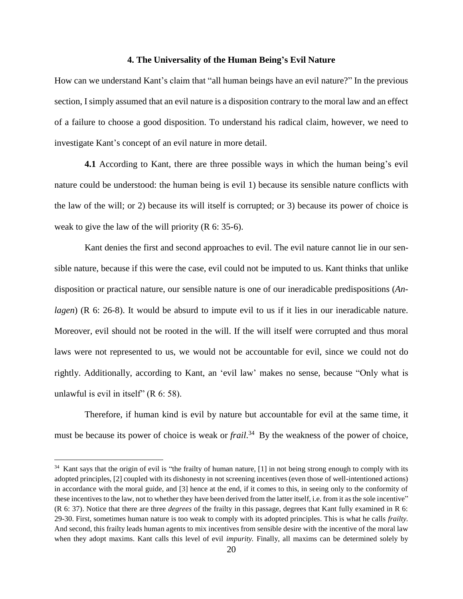#### **4. The Universality of the Human Being's Evil Nature**

How can we understand Kant's claim that "all human beings have an evil nature?" In the previous section, I simply assumed that an evil nature is a disposition contrary to the moral law and an effect of a failure to choose a good disposition. To understand his radical claim, however, we need to investigate Kant's concept of an evil nature in more detail.

**4.1** According to Kant, there are three possible ways in which the human being's evil nature could be understood: the human being is evil 1) because its sensible nature conflicts with the law of the will; or 2) because its will itself is corrupted; or 3) because its power of choice is weak to give the law of the will priority (R 6: 35-6).

Kant denies the first and second approaches to evil. The evil nature cannot lie in our sensible nature, because if this were the case, evil could not be imputed to us. Kant thinks that unlike disposition or practical nature, our sensible nature is one of our ineradicable predispositions (*Anlagen*) (R 6: 26-8). It would be absurd to impute evil to us if it lies in our ineradicable nature. Moreover, evil should not be rooted in the will. If the will itself were corrupted and thus moral laws were not represented to us, we would not be accountable for evil, since we could not do rightly. Additionally, according to Kant, an 'evil law' makes no sense, because "Only what is unlawful is evil in itself" ( $R$  6: 58).

Therefore, if human kind is evil by nature but accountable for evil at the same time, it must be because its power of choice is weak or *frail*. <sup>34</sup> By the weakness of the power of choice,

<sup>&</sup>lt;sup>34</sup> Kant says that the origin of evil is "the frailty of human nature, [1] in not being strong enough to comply with its adopted principles, [2] coupled with its dishonesty in not screening incentives (even those of well-intentioned actions) in accordance with the moral guide, and [3] hence at the end, if it comes to this, in seeing only to the conformity of these incentives to the law, not to whether they have been derived from the latter itself, i.e. from it as the sole incentive" (R 6: 37). Notice that there are three *degrees* of the frailty in this passage, degrees that Kant fully examined in R 6: 29-30. First, sometimes human nature is too weak to comply with its adopted principles. This is what he calls *frailty.*  And second, this frailty leads human agents to mix incentives from sensible desire with the incentive of the moral law when they adopt maxims. Kant calls this level of evil *impurity.* Finally, all maxims can be determined solely by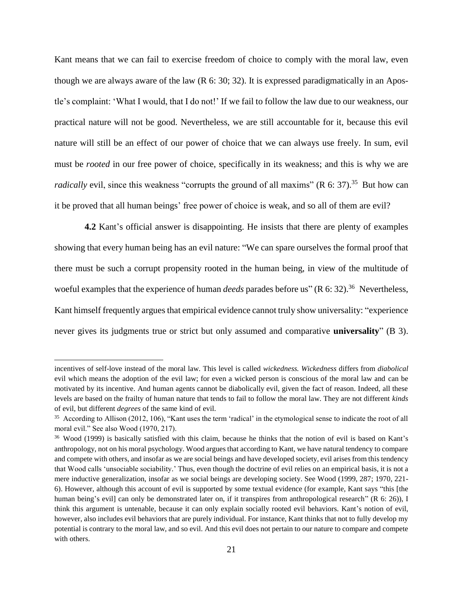Kant means that we can fail to exercise freedom of choice to comply with the moral law, even though we are always aware of the law  $(R 6: 30; 32)$ . It is expressed paradigmatically in an Apostle's complaint: 'What I would, that I do not!' If we fail to follow the law due to our weakness, our practical nature will not be good. Nevertheless, we are still accountable for it, because this evil nature will still be an effect of our power of choice that we can always use freely. In sum, evil must be *rooted* in our free power of choice, specifically in its weakness; and this is why we are *radically* evil, since this weakness "corrupts the ground of all maxims" (R 6: 37).<sup>35</sup> But how can it be proved that all human beings' free power of choice is weak, and so all of them are evil?

**4.2** Kant's official answer is disappointing. He insists that there are plenty of examples showing that every human being has an evil nature: "We can spare ourselves the formal proof that there must be such a corrupt propensity rooted in the human being, in view of the multitude of woeful examples that the experience of human *deeds* parades before us" (R 6: 32).<sup>36</sup> Nevertheless, Kant himself frequently argues that empirical evidence cannot truly show universality: "experience never gives its judgments true or strict but only assumed and comparative **universality**" (B 3).

incentives of self-love instead of the moral law. This level is called *wickedness. Wickedness* differs from *diabolical*  evil which means the adoption of the evil law; for even a wicked person is conscious of the moral law and can be motivated by its incentive. And human agents cannot be diabolically evil, given the fact of reason. Indeed, all these levels are based on the frailty of human nature that tends to fail to follow the moral law. They are not different *kinds* of evil, but different *degrees* of the same kind of evil.

<sup>&</sup>lt;sup>35</sup> According to Allison (2012, 106), "Kant uses the term 'radical' in the etymological sense to indicate the root of all moral evil." See also Wood (1970, 217).

<sup>36</sup> Wood (1999) is basically satisfied with this claim, because he thinks that the notion of evil is based on Kant's anthropology, not on his moral psychology. Wood argues that according to Kant, we have natural tendency to compare and compete with others, and insofar as we are social beings and have developed society, evil arises from this tendency that Wood calls 'unsociable sociability.' Thus, even though the doctrine of evil relies on an empirical basis, it is not a mere inductive generalization, insofar as we social beings are developing society. See Wood (1999, 287; 1970, 221- 6). However, although this account of evil is supported by some textual evidence (for example, Kant says "this [the human being's evill can only be demonstrated later on, if it transpires from anthropological research" (R 6: 26)), I think this argument is untenable, because it can only explain socially rooted evil behaviors. Kant's notion of evil, however, also includes evil behaviors that are purely individual. For instance, Kant thinks that not to fully develop my potential is contrary to the moral law, and so evil. And this evil does not pertain to our nature to compare and compete with others.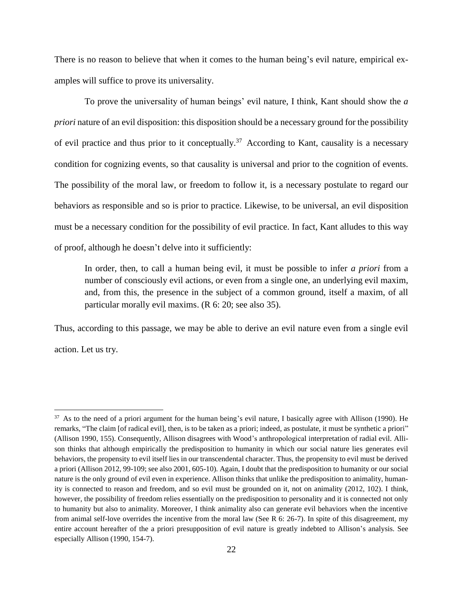There is no reason to believe that when it comes to the human being's evil nature, empirical examples will suffice to prove its universality.

To prove the universality of human beings' evil nature, I think, Kant should show the *a priori* nature of an evil disposition: this disposition should be a necessary ground for the possibility of evil practice and thus prior to it conceptually.<sup>37</sup> According to Kant, causality is a necessary condition for cognizing events, so that causality is universal and prior to the cognition of events. The possibility of the moral law, or freedom to follow it, is a necessary postulate to regard our behaviors as responsible and so is prior to practice. Likewise, to be universal, an evil disposition must be a necessary condition for the possibility of evil practice. In fact, Kant alludes to this way of proof, although he doesn't delve into it sufficiently:

In order, then, to call a human being evil, it must be possible to infer *a priori* from a number of consciously evil actions, or even from a single one, an underlying evil maxim, and, from this, the presence in the subject of a common ground, itself a maxim, of all particular morally evil maxims. (R 6: 20; see also 35).

Thus, according to this passage, we may be able to derive an evil nature even from a single evil action. Let us try.

<sup>&</sup>lt;sup>37</sup> As to the need of a priori argument for the human being's evil nature, I basically agree with Allison (1990). He remarks, "The claim [of radical evil], then, is to be taken as a priori; indeed, as postulate, it must be synthetic a priori" (Allison 1990, 155). Consequently, Allison disagrees with Wood's anthropological interpretation of radial evil. Allison thinks that although empirically the predisposition to humanity in which our social nature lies generates evil behaviors, the propensity to evil itself lies in our transcendental character. Thus, the propensity to evil must be derived a priori (Allison 2012, 99-109; see also 2001, 605-10). Again, I doubt that the predisposition to humanity or our social nature is the only ground of evil even in experience. Allison thinks that unlike the predisposition to animality, humanity is connected to reason and freedom, and so evil must be grounded on it, not on animality (2012, 102). I think, however, the possibility of freedom relies essentially on the predisposition to personality and it is connected not only to humanity but also to animality. Moreover, I think animality also can generate evil behaviors when the incentive from animal self-love overrides the incentive from the moral law (See R 6: 26-7). In spite of this disagreement, my entire account hereafter of the a priori presupposition of evil nature is greatly indebted to Allison's analysis. See especially Allison (1990, 154-7).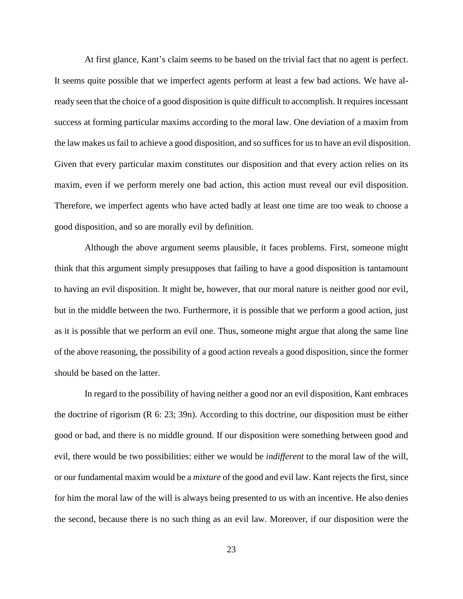At first glance, Kant's claim seems to be based on the trivial fact that no agent is perfect. It seems quite possible that we imperfect agents perform at least a few bad actions. We have already seen that the choice of a good disposition is quite difficult to accomplish. It requires incessant success at forming particular maxims according to the moral law. One deviation of a maxim from the law makes us fail to achieve a good disposition, and so suffices for us to have an evil disposition. Given that every particular maxim constitutes our disposition and that every action relies on its maxim, even if we perform merely one bad action, this action must reveal our evil disposition. Therefore, we imperfect agents who have acted badly at least one time are too weak to choose a good disposition, and so are morally evil by definition.

Although the above argument seems plausible, it faces problems. First, someone might think that this argument simply presupposes that failing to have a good disposition is tantamount to having an evil disposition. It might be, however, that our moral nature is neither good nor evil, but in the middle between the two. Furthermore, it is possible that we perform a good action, just as it is possible that we perform an evil one. Thus, someone might argue that along the same line of the above reasoning, the possibility of a good action reveals a good disposition, since the former should be based on the latter.

In regard to the possibility of having neither a good nor an evil disposition, Kant embraces the doctrine of rigorism (R 6: 23; 39n). According to this doctrine, our disposition must be either good or bad, and there is no middle ground. If our disposition were something between good and evil, there would be two possibilities: either we would be *indifferent* to the moral law of the will, or our fundamental maxim would be a *mixture* of the good and evil law. Kant rejects the first, since for him the moral law of the will is always being presented to us with an incentive. He also denies the second, because there is no such thing as an evil law. Moreover, if our disposition were the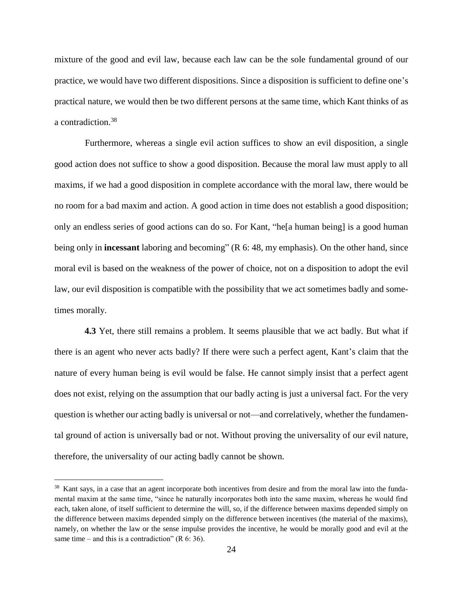mixture of the good and evil law, because each law can be the sole fundamental ground of our practice, we would have two different dispositions. Since a disposition is sufficient to define one's practical nature, we would then be two different persons at the same time, which Kant thinks of as a contradiction.<sup>38</sup>

Furthermore, whereas a single evil action suffices to show an evil disposition, a single good action does not suffice to show a good disposition. Because the moral law must apply to all maxims, if we had a good disposition in complete accordance with the moral law, there would be no room for a bad maxim and action. A good action in time does not establish a good disposition; only an endless series of good actions can do so. For Kant, "he[a human being] is a good human being only in **incessant** laboring and becoming" (R 6: 48, my emphasis). On the other hand, since moral evil is based on the weakness of the power of choice, not on a disposition to adopt the evil law, our evil disposition is compatible with the possibility that we act sometimes badly and sometimes morally.

**4.3** Yet, there still remains a problem. It seems plausible that we act badly. But what if there is an agent who never acts badly? If there were such a perfect agent, Kant's claim that the nature of every human being is evil would be false. He cannot simply insist that a perfect agent does not exist, relying on the assumption that our badly acting is just a universal fact. For the very question is whether our acting badly is universal or not—and correlatively, whether the fundamental ground of action is universally bad or not. Without proving the universality of our evil nature, therefore, the universality of our acting badly cannot be shown.

<sup>&</sup>lt;sup>38</sup> Kant says, in a case that an agent incorporate both incentives from desire and from the moral law into the fundamental maxim at the same time, "since he naturally incorporates both into the same maxim, whereas he would find each, taken alone, of itself sufficient to determine the will, so, if the difference between maxims depended simply on the difference between maxims depended simply on the difference between incentives (the material of the maxims), namely, on whether the law or the sense impulse provides the incentive, he would be morally good and evil at the same time – and this is a contradiction" (R  $6: 36$ ).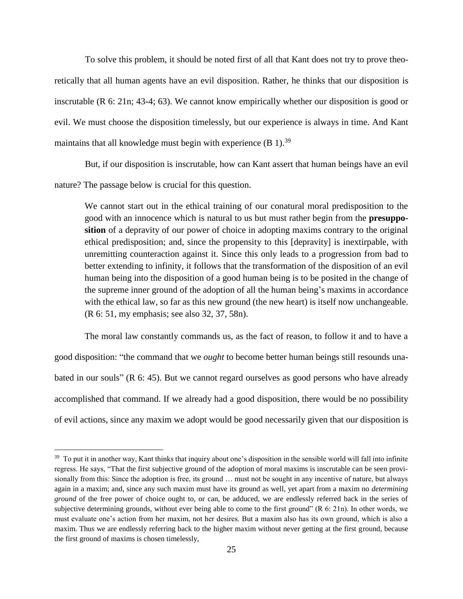To solve this problem, it should be noted first of all that Kant does not try to prove theoretically that all human agents have an evil disposition. Rather, he thinks that our disposition is inscrutable (R 6: 21n; 43-4; 63). We cannot know empirically whether our disposition is good or evil. We must choose the disposition timelessly, but our experience is always in time. And Kant maintains that all knowledge must begin with experience  $(B 1)$ .<sup>39</sup>

But, if our disposition is inscrutable, how can Kant assert that human beings have an evil nature? The passage below is crucial for this question.

We cannot start out in the ethical training of our conatural moral predisposition to the good with an innocence which is natural to us but must rather begin from the **presupposition** of a depravity of our power of choice in adopting maxims contrary to the original ethical predisposition; and, since the propensity to this [depravity] is inextirpable, with unremitting counteraction against it. Since this only leads to a progression from bad to better extending to infinity, it follows that the transformation of the disposition of an evil human being into the disposition of a good human being is to be posited in the change of the supreme inner ground of the adoption of all the human being's maxims in accordance with the ethical law, so far as this new ground (the new heart) is itself now unchangeable. (R 6: 51, my emphasis; see also 32, 37, 58n).

The moral law constantly commands us, as the fact of reason, to follow it and to have a good disposition: "the command that we *ought* to become better human beings still resounds unabated in our souls" (R 6: 45). But we cannot regard ourselves as good persons who have already accomplished that command. If we already had a good disposition, there would be no possibility of evil actions, since any maxim we adopt would be good necessarily given that our disposition is

 $39\,$  To put it in another way, Kant thinks that inquiry about one's disposition in the sensible world will fall into infinite regress. He says, "That the first subjective ground of the adoption of moral maxims is inscrutable can be seen provisionally from this: Since the adoption is free, its ground … must not be sought in any incentive of nature, but always again in a maxim; and, since any such maxim must have its ground as well, yet apart from a maxim no *determining ground* of the free power of choice ought to, or can, be adduced, we are endlessly referred back in the series of subjective determining grounds, without ever being able to come to the first ground" (R 6: 21n). In other words, we must evaluate one's action from her maxim, not her desires. But a maxim also has its own ground, which is also a maxim. Thus we are endlessly referring back to the higher maxim without never getting at the first ground, because the first ground of maxims is chosen timelessly,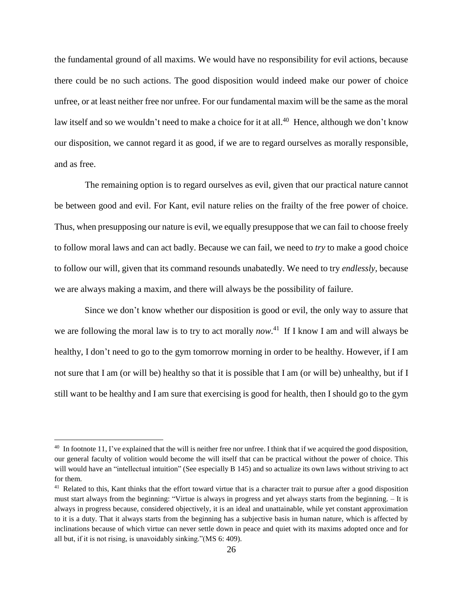the fundamental ground of all maxims. We would have no responsibility for evil actions, because there could be no such actions. The good disposition would indeed make our power of choice unfree, or at least neither free nor unfree. For our fundamental maxim will be the same as the moral law itself and so we wouldn't need to make a choice for it at all.<sup>40</sup> Hence, although we don't know our disposition, we cannot regard it as good, if we are to regard ourselves as morally responsible, and as free.

The remaining option is to regard ourselves as evil, given that our practical nature cannot be between good and evil. For Kant, evil nature relies on the frailty of the free power of choice. Thus, when presupposing our nature is evil, we equally presuppose that we can fail to choose freely to follow moral laws and can act badly. Because we can fail, we need to *try* to make a good choice to follow our will, given that its command resounds unabatedly. We need to try *endlessly,* because we are always making a maxim, and there will always be the possibility of failure.

Since we don't know whether our disposition is good or evil, the only way to assure that we are following the moral law is to try to act morally *now*. <sup>41</sup> If I know I am and will always be healthy, I don't need to go to the gym tomorrow morning in order to be healthy. However, if I am not sure that I am (or will be) healthy so that it is possible that I am (or will be) unhealthy, but if I still want to be healthy and I am sure that exercising is good for health, then I should go to the gym

 $40 \text{ In footnote 11, I've explained that the will is neither free nor unfree. I think that if we acquired the good disposition, }$ our general faculty of volition would become the will itself that can be practical without the power of choice. This will would have an "intellectual intuition" (See especially B 145) and so actualize its own laws without striving to act for them.

<sup>&</sup>lt;sup>41</sup> Related to this, Kant thinks that the effort toward virtue that is a character trait to pursue after a good disposition must start always from the beginning: "Virtue is always in progress and yet always starts from the beginning. – It is always in progress because, considered objectively, it is an ideal and unattainable, while yet constant approximation to it is a duty. That it always starts from the beginning has a subjective basis in human nature, which is affected by inclinations because of which virtue can never settle down in peace and quiet with its maxims adopted once and for all but, if it is not rising, is unavoidably sinking."(MS 6: 409).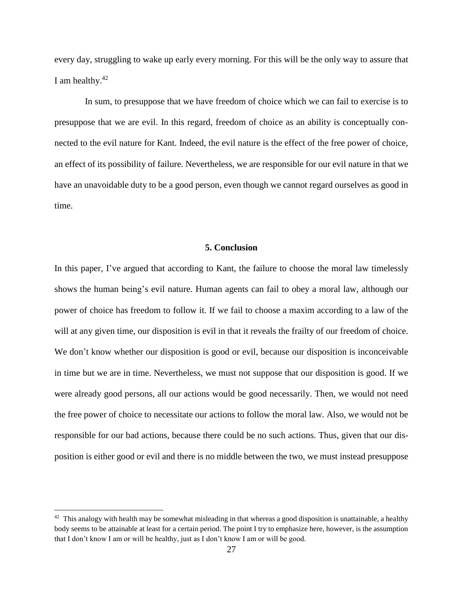every day, struggling to wake up early every morning. For this will be the only way to assure that I am healthy. $42$ 

In sum, to presuppose that we have freedom of choice which we can fail to exercise is to presuppose that we are evil. In this regard, freedom of choice as an ability is conceptually connected to the evil nature for Kant. Indeed, the evil nature is the effect of the free power of choice, an effect of its possibility of failure. Nevertheless, we are responsible for our evil nature in that we have an unavoidable duty to be a good person, even though we cannot regard ourselves as good in time.

### **5. Conclusion**

In this paper, I've argued that according to Kant, the failure to choose the moral law timelessly shows the human being's evil nature. Human agents can fail to obey a moral law, although our power of choice has freedom to follow it. If we fail to choose a maxim according to a law of the will at any given time, our disposition is evil in that it reveals the frailty of our freedom of choice. We don't know whether our disposition is good or evil, because our disposition is inconceivable in time but we are in time. Nevertheless, we must not suppose that our disposition is good. If we were already good persons, all our actions would be good necessarily. Then, we would not need the free power of choice to necessitate our actions to follow the moral law. Also, we would not be responsible for our bad actions, because there could be no such actions. Thus, given that our disposition is either good or evil and there is no middle between the two, we must instead presuppose

 $42$  This analogy with health may be somewhat misleading in that whereas a good disposition is unattainable, a healthy body seems to be attainable at least for a certain period. The point I try to emphasize here, however, is the assumption that I don't know I am or will be healthy, just as I don't know I am or will be good.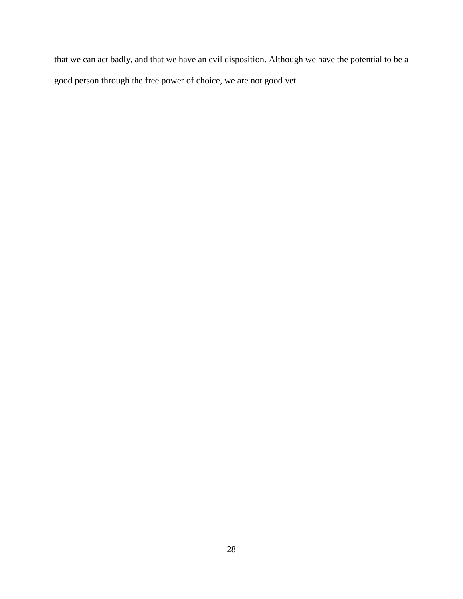that we can act badly, and that we have an evil disposition. Although we have the potential to be a good person through the free power of choice, we are not good yet.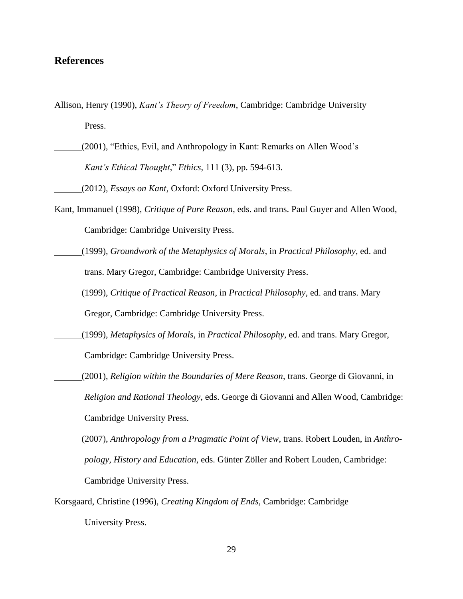## **References**

- Allison, Henry (1990), *Kant's Theory of Freedom*, Cambridge: Cambridge University Press.
- (2001), "Ethics, Evil, and Anthropology in Kant: Remarks on Allen Wood's *Kant's Ethical Thought*," *Ethics,* 111 (3), pp. 594-613.

(2012), *Essays on Kant,* Oxford: Oxford University Press.

- Kant, Immanuel (1998), *Critique of Pure Reason*, eds. and trans. Paul Guyer and Allen Wood, Cambridge: Cambridge University Press.
- (1999), *Groundwork of the Metaphysics of Morals*, in *Practical Philosophy*, ed. and trans. Mary Gregor, Cambridge: Cambridge University Press.
- (1999), *Critique of Practical Reason*, in *Practical Philosophy*, ed. and trans. Mary Gregor, Cambridge: Cambridge University Press.
- (1999), *Metaphysics of Morals*, in *Practical Philosophy*, ed. and trans. Mary Gregor, Cambridge: Cambridge University Press.
- (2001), *Religion within the Boundaries of Mere Reason*, trans. George di Giovanni, in *Religion and Rational Theology*, eds. George di Giovanni and Allen Wood, Cambridge: Cambridge University Press.
- (2007), *Anthropology from a Pragmatic Point of View*, trans. Robert Louden, in *Anthropology, History and Education*, eds. Günter Zöller and Robert Louden, Cambridge: Cambridge University Press.
- Korsgaard, Christine (1996), *Creating Kingdom of Ends,* Cambridge: Cambridge University Press.